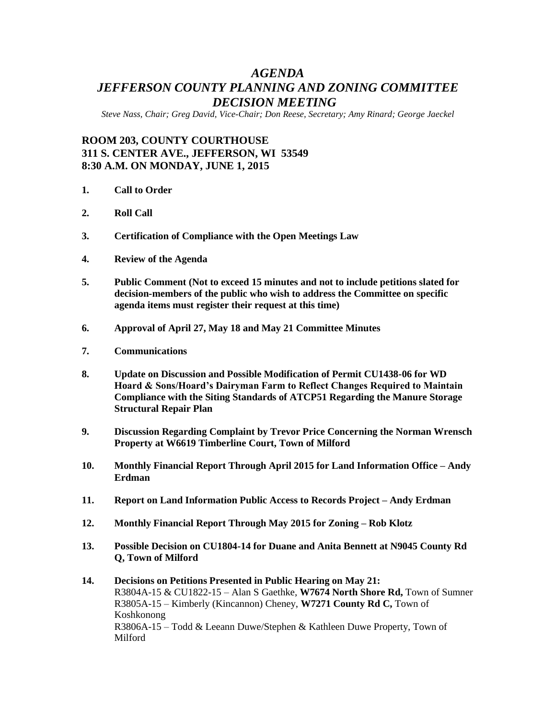# *AGENDA JEFFERSON COUNTY PLANNING AND ZONING COMMITTEE DECISION MEETING*

*Steve Nass, Chair; Greg David, Vice-Chair; Don Reese, Secretary; Amy Rinard; George Jaeckel*

## **ROOM 203, COUNTY COURTHOUSE 311 S. CENTER AVE., JEFFERSON, WI 53549 8:30 A.M. ON MONDAY, JUNE 1, 2015**

- **1. Call to Order**
- **2. Roll Call**
- **3. Certification of Compliance with the Open Meetings Law**
- **4. Review of the Agenda**
- **5. Public Comment (Not to exceed 15 minutes and not to include petitions slated for decision-members of the public who wish to address the Committee on specific agenda items must register their request at this time)**
- **6. Approval of April 27, May 18 and May 21 Committee Minutes**
- **7. Communications**
- **8. Update on Discussion and Possible Modification of Permit CU1438-06 for WD Hoard & Sons/Hoard's Dairyman Farm to Reflect Changes Required to Maintain Compliance with the Siting Standards of ATCP51 Regarding the Manure Storage Structural Repair Plan**
- **9. Discussion Regarding Complaint by Trevor Price Concerning the Norman Wrensch Property at W6619 Timberline Court, Town of Milford**
- **10. Monthly Financial Report Through April 2015 for Land Information Office – Andy Erdman**
- **11. Report on Land Information Public Access to Records Project – Andy Erdman**
- **12. Monthly Financial Report Through May 2015 for Zoning – Rob Klotz**
- **13. Possible Decision on CU1804-14 for Duane and Anita Bennett at N9045 County Rd Q, Town of Milford**
- **14. Decisions on Petitions Presented in Public Hearing on May 21:** R3804A-15 & CU1822-15 – Alan S Gaethke, **W7674 North Shore Rd,** Town of Sumner R3805A-15 – Kimberly (Kincannon) Cheney, **W7271 County Rd C,** Town of Koshkonong R3806A-15 – Todd & Leeann Duwe/Stephen & Kathleen Duwe Property, Town of Milford